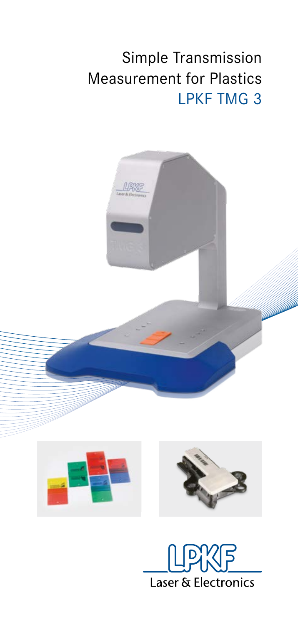## Simple Transmission Measurement for Plastics LPKF TMG 3



Laser & Electronics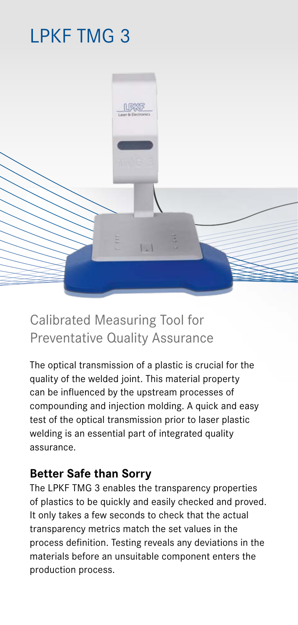# LPKF TMG 3



## Calibrated Measuring Tool for Preventative Quality Assurance

The optical transmission of a plastic is crucial for the quality of the welded joint. This material property can be influenced by the upstream processes of compounding and injection molding. A quick and easy test of the optical transmission prior to laser plastic welding is an essential part of integrated quality assurance.

#### **Better Safe than Sorry**

The LPKF TMG 3 enables the transparency properties of plastics to be quickly and easily checked and proved. It only takes a few seconds to check that the actual transparency metrics match the set values in the process definition. Testing reveals any deviations in the materials before an unsuitable component enters the production process.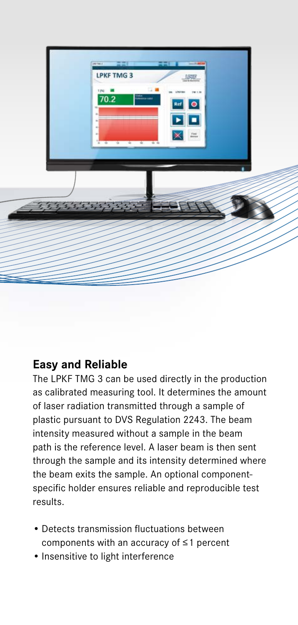

### **Easy and Reliable**

The LPKF TMG 3 can be used directly in the production as calibrated measuring tool. It determines the amount of laser radiation transmitted through a sample of plastic pursuant to DVS Regulation 2243. The beam intensity measured without a sample in the beam path is the reference level. A laser beam is then sent through the sample and its intensity determined where the beam exits the sample. An optional componentspecific holder ensures reliable and reproducible test results.

- Detects transmission fluctuations between components with an accuracy of ≤1 percent
- Insensitive to light interference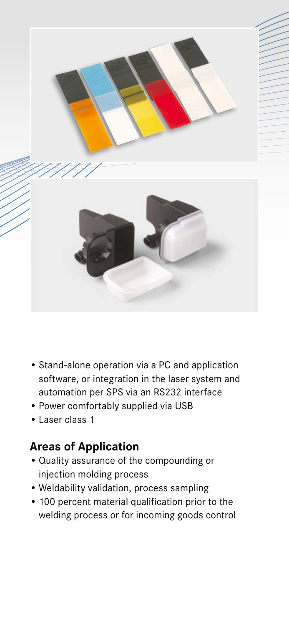

- Stand-alone operation via a PC and application software, or integration in the laser system and automation per SPS via an RS232 interface
- Power comfortably supplied via USB
- Laser class 1

## **Areas of Application**

- Quality assurance of the compounding or injection molding process
- Weldability validation, process sampling
- 100 percent material qualification prior to the welding process or for incoming goods control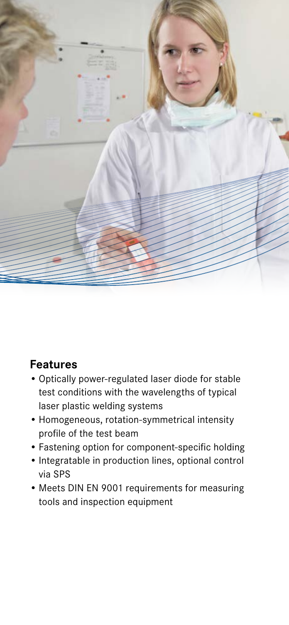

## **Features**

- Optically power-regulated laser diode for stable test conditions with the wavelengths of typical laser plastic welding systems
- Homogeneous, rotation-symmetrical intensity profile of the test beam
- Fastening option for component-specific holding
- Integratable in production lines, optional control via SPS
- Meets DIN EN 9001 requirements for measuring tools and inspection equipment